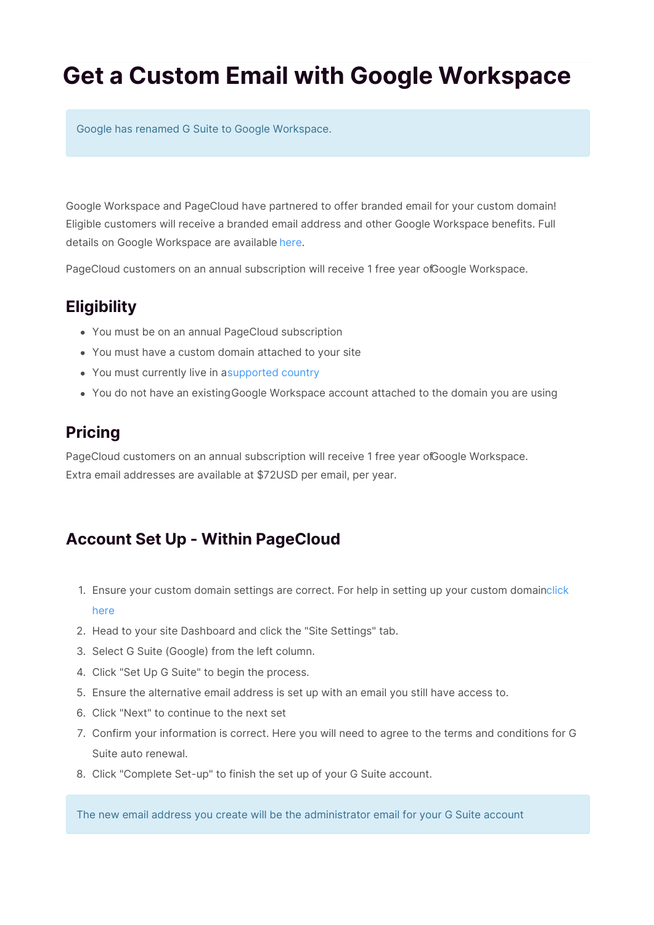# **Get a Custom Email with Google Workspace**

Google has renamed G Suite to Google Workspace.

Google Workspace and PageCloud have partnered to offer branded email for your custom domain! Eligible customers will receive a branded email address and other Google Workspace benefits. Full details on Google Workspace are available here.

PageCloud customers on an annual subscription will receive 1 free year ofGoogle Workspace.

## **Eligibility**

- You must be on an annual PageCloud subscription
- You must have a custom domain attached to your site
- You must currently live in asupported country
- You do not have an existingGoogle Workspace account attached to the domain you are using

## **Pricing**

PageCloud customers on an annual subscription will receive 1 free year ofGoogle Workspace. Extra email addresses are available at \$72USD per email, per year.

#### **Account Set Up - Within PageCloud**

- 1. Ensure your custom domain settings are correct. For help in setting up your custom domainclick here
- 2. Head to your site Dashboard and click the "Site Settings" tab.
- 3. Select G Suite (Google) from the left column.
- 4. Click "Set Up G Suite" to begin the process.
- 5. Ensure the alternative email address is set up with an email you still have access to.
- 6. Click "Next" to continue to the next set
- 7. Confirm your information is correct. Here you will need to agree to the terms and conditions for G Suite auto renewal.
- 8. Click "Complete Set-up" to finish the set up of your G Suite account.

The new email address you create will be the administrator email for your G Suite account